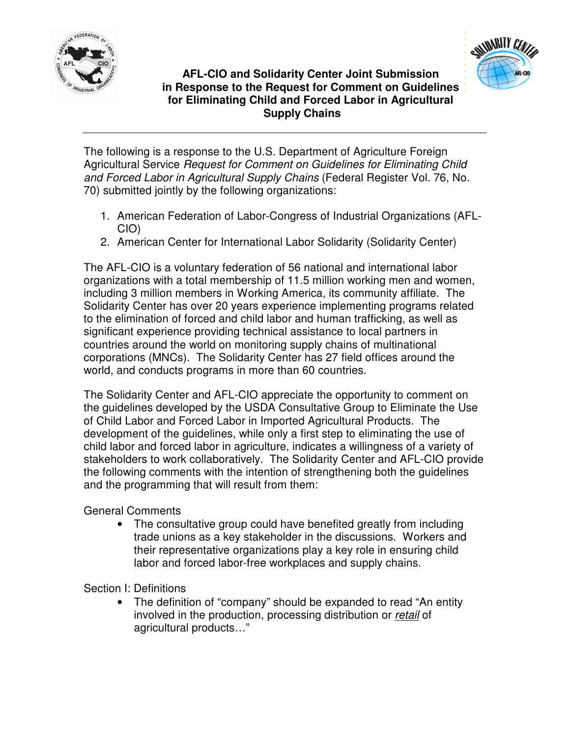



## **AFL-CIO and Solidarity Center Joint Submission in Response to the Request for Comment on Guidelines for Eliminating Child and Forced Labor in Agricultural Supply Chains**

The following is a response to the U.S. Department of Agriculture Foreign Agricultural Service *Request for Comment on Guidelines for Eliminating Child and Forced Labor in Agricultural Supply Chains* (Federal Register Vol. 76, No. 70) submitted jointly by the following organizations:

- 1. American Federation of Labor-Congress of Industrial Organizations (AFL-CIO)
- 2. American Center for International Labor Solidarity (Solidarity Center)

The AFL-CIO is a voluntary federation of 56 national and international labor organizations with a total membership of 11.5 million working men and women, including 3 million members in Working America, its community affiliate. The Solidarity Center has over 20 years experience implementing programs related to the elimination of forced and child labor and human trafficking, as well as significant experience providing technical assistance to local partners in countries around the world on monitoring supply chains of multinational corporations (MNCs). The Solidarity Center has 27 field offices around the world, and conducts programs in more than 60 countries.

The Solidarity Center and AFL-CIO appreciate the opportunity to comment on the guidelines developed by the USDA Consultative Group to Eliminate the Use of Child Labor and Forced Labor in Imported Agricultural Products. The development of the guidelines, while only a first step to eliminating the use of child labor and forced labor in agriculture, indicates a willingness of a variety of stakeholders to work collaboratively. The Solidarity Center and AFL-CIO provide the following comments with the intention of strengthening both the guidelines and the programming that will result from them:

General Comments

• The consultative group could have benefited greatly from including trade unions as a key stakeholder in the discussions. Workers and their representative organizations play a key role in ensuring child labor and forced labor-free workplaces and supply chains.

Section I: Definitions

• The definition of "company" should be expanded to read "An entity" involved in the production, processing distribution or *retail* of agricultural products…"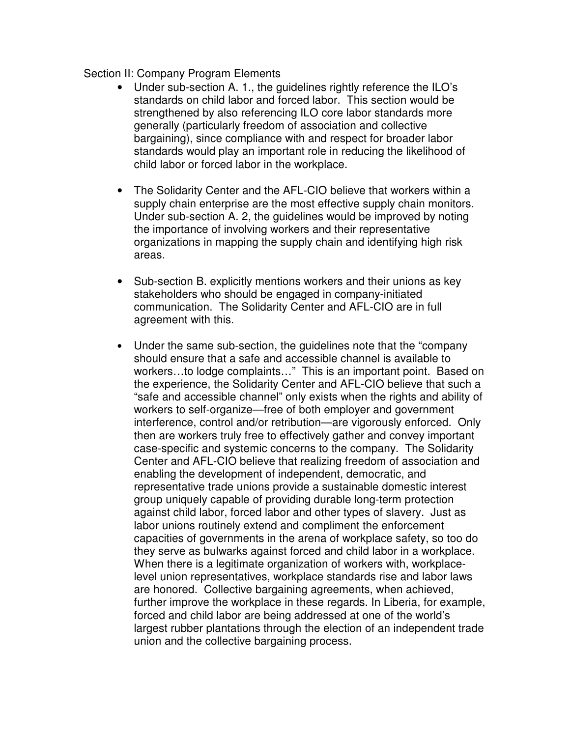## Section II: Company Program Elements

- Under sub-section A. 1., the guidelines rightly reference the ILO's standards on child labor and forced labor. This section would be strengthened by also referencing ILO core labor standards more generally (particularly freedom of association and collective bargaining), since compliance with and respect for broader labor standards would play an important role in reducing the likelihood of child labor or forced labor in the workplace.
- The Solidarity Center and the AFL-CIO believe that workers within a supply chain enterprise are the most effective supply chain monitors. Under sub-section A. 2, the guidelines would be improved by noting the importance of involving workers and their representative organizations in mapping the supply chain and identifying high risk areas.
- Sub-section B. explicitly mentions workers and their unions as key stakeholders who should be engaged in company-initiated communication. The Solidarity Center and AFL-CIO are in full agreement with this.
- Under the same sub-section, the guidelines note that the "company" should ensure that a safe and accessible channel is available to workers…to lodge complaints…" This is an important point. Based on the experience, the Solidarity Center and AFL-CIO believe that such a "safe and accessible channel" only exists when the rights and ability of workers to self-organize—free of both employer and government interference, control and/or retribution—are vigorously enforced. Only then are workers truly free to effectively gather and convey important case-specific and systemic concerns to the company. The Solidarity Center and AFL-CIO believe that realizing freedom of association and enabling the development of independent, democratic, and representative trade unions provide a sustainable domestic interest group uniquely capable of providing durable long-term protection against child labor, forced labor and other types of slavery. Just as labor unions routinely extend and compliment the enforcement capacities of governments in the arena of workplace safety, so too do they serve as bulwarks against forced and child labor in a workplace. When there is a legitimate organization of workers with, workplacelevel union representatives, workplace standards rise and labor laws are honored. Collective bargaining agreements, when achieved, further improve the workplace in these regards. In Liberia, for example, forced and child labor are being addressed at one of the world's largest rubber plantations through the election of an independent trade union and the collective bargaining process.